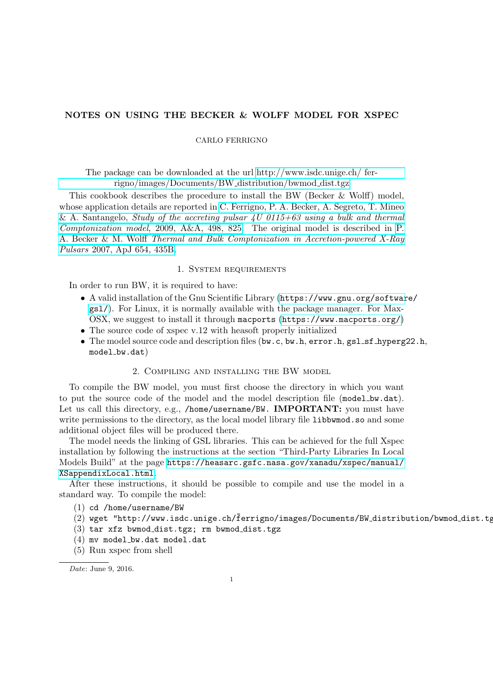# NOTES ON USING THE BECKER & WOLFF MODEL FOR XSPEC

## CARLO FERRIGNO

The package can be downloaded at the url [http://www.isdc.unige.ch/ fer](http://www.isdc.unige.ch/~ferrigno/images/Documents/BW_distribution/bwmod_dist.tgz)[rigno/images/Documents/BW](http://www.isdc.unige.ch/~ferrigno/images/Documents/BW_distribution/bwmod_dist.tgz) distribution/bwmod dist.tgz

This cookbook describes the procedure to install the BW (Becker & Wolff) model, whose application details are reported in [C. Ferrigno, P. A. Becker, A. Segreto, T. Mineo](http://adsabs.harvard.edu/cgi-bin/nph-data_query?bibcode=2009A%26A...498..825F&db_key=AST&link_type=ABSTRACT&high=56c2e59d6032732) & A. Santangelo, Study of the accreting pulsar  $4U$  0115+63 using a bulk and thermal Comptonization model[, 2009, A&A, 498, 825.](http://adsabs.harvard.edu/cgi-bin/nph-data_query?bibcode=2009A%26A...498..825F&db_key=AST&link_type=ABSTRACT&high=56c2e59d6032732) The original model is described in [P.](http://adsabs.harvard.edu/cgi-bin/nph-data_query?bibcode=2007ApJ...654..435B&db_key=AST&link_type=ABSTRACT&high=56c2e59d6002325) A. Becker & M. Wolff [Thermal and Bulk Comptonization in Accretion-powered X-Ray](http://adsabs.harvard.edu/cgi-bin/nph-data_query?bibcode=2007ApJ...654..435B&db_key=AST&link_type=ABSTRACT&high=56c2e59d6002325) Pulsars [2007, ApJ 654, 435B.](http://adsabs.harvard.edu/cgi-bin/nph-data_query?bibcode=2007ApJ...654..435B&db_key=AST&link_type=ABSTRACT&high=56c2e59d6002325)

#### 1. SYSTEM REQUIREMENTS

In order to run BW, it is required to have:

- A valid installation of the Gnu Scientific Library ([https://www.gnu.org/softwar](https://www.gnu.org/software/gsl/)e/ [gsl/](https://www.gnu.org/software/gsl/)). For Linux, it is normally available with the package manager. For Max-OSX, we suggest to install it through macports (<https://www.macports.org/>)
- The source code of xspec v.12 with heasoft properly initialized
- The model source code and description files (bw.c, bw.h,  $error.h$ ,  $gsl_ssf_hyperg22.h$ , model\_bw.dat)

#### 2. Compiling and installing the BW model

To compile the BW model, you must first choose the directory in which you want to put the source code of the model and the model description file (model bw.dat). Let us call this directory, e.g., /home/username/BW. **IMPORTANT:** you must have write permissions to the directory, as the local model library file libbwmod.so and some additional object files will be produced there.

The model needs the linking of GSL libraries. This can be achieved for the full Xspec installation by following the instructions at the section "Third-Party Libraries In Local Models Build" at the page [https://heasarc.gsfc.nasa.gov/xanadu/xspec/manual/](https://heasarc.gsfc.nasa.gov/xanadu/xspec/manual/XSappendixLocal.html) [XSappendixLocal.html](https://heasarc.gsfc.nasa.gov/xanadu/xspec/manual/XSappendixLocal.html).

After these instructions, it should be possible to compile and use the model in a standard way. To compile the model:

- (1) cd /home/username/BW
- $(2)$  wget "http://www.isdc.unige.ch/ferrigno/images/Documents/BW\_distribution/bwmod\_dist.tg
- $(3)$  tar xfz bwmod\_dist.tgz; rm bwmod\_dist.tgz
- $(4)$  mv model\_bw.dat model.dat
- (5) Run xspec from shell

Date: June 9, 2016.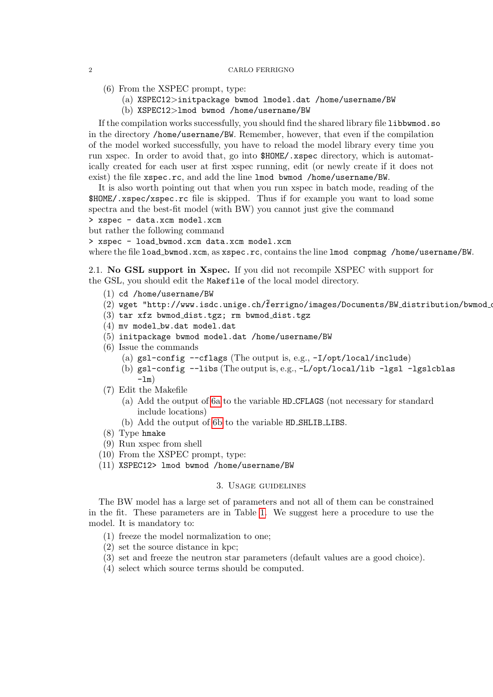#### 2 CARLO FERRIGNO

- (6) From the XSPEC prompt, type:
	- (a) XSPEC12>initpackage bwmod lmodel.dat /home/username/BW
	- (b) XSPEC12>lmod bwmod /home/username/BW

If the compilation works successfully, you should find the shared library file libbwmod.so in the directory /home/username/BW. Remember, however, that even if the compilation of the model worked successfully, you have to reload the model library every time you run xspec. In order to avoid that, go into \$HOME/.xspec directory, which is automatically created for each user at first xspec running, edit (or newly create if it does not exist) the file xspec.rc, and add the line lmod bwmod /home/username/BW.

It is also worth pointing out that when you run xspec in batch mode, reading of the \$HOME/.xspec/xspec.rc file is skipped. Thus if for example you want to load some spectra and the best-fit model (with BW) you cannot just give the command

> xspec - data.xcm model.xcm

but rather the following command

> xspec - load bwmod.xcm data.xcm model.xcm

where the file load\_bwmod.xcm, as xspec.rc, contains the line lmod compmag /home/username/BW.

2.1. No GSL support in Xspec. If you did not recompile XSPEC with support for the GSL, you should edit the Makefile of the local model directory.

- (1) cd /home/username/BW
- $(2)$  wget "http://www.isdc.unige.ch/ $\tilde{f}$ errigno/images/Documents/BW\_distribution/bwmod\_
- $(3)$  tar xfz bwmod\_dist.tgz; rm bwmod\_dist.tgz
- $(4)$  mv model\_bw.dat model.dat
- (5) initpackage bwmod model.dat /home/username/BW
- <span id="page-1-1"></span><span id="page-1-0"></span>(6) Issue the commands
	- (a)  $gs1$ -config --cflags (The output is, e.g.,  $-I$ /opt/local/include)
	- (b) gsl-config --libs (The output is, e.g., -L/opt/local/lib -lgsl -lgslcblas  $-\ln$ )
- (7) Edit the Makefile
	- (a) Add the output of [6a](#page-1-0) to the variable HD CFLAGS (not necessary for standard include locations)
	- (b) Add the output of [6b](#page-1-1) to the variable HD SHLIB LIBS.
- (8) Type hmake
- (9) Run xspec from shell
- (10) From the XSPEC prompt, type:
- (11) XSPEC12> lmod bwmod /home/username/BW

### 3. Usage guidelines

The BW model has a large set of parameters and not all of them can be constrained in the fit. These parameters are in Table [1.](#page-2-0) We suggest here a procedure to use the model. It is mandatory to:

- (1) freeze the model normalization to one;
- (2) set the source distance in kpc;
- (3) set and freeze the neutron star parameters (default values are a good choice).
- (4) select which source terms should be computed.